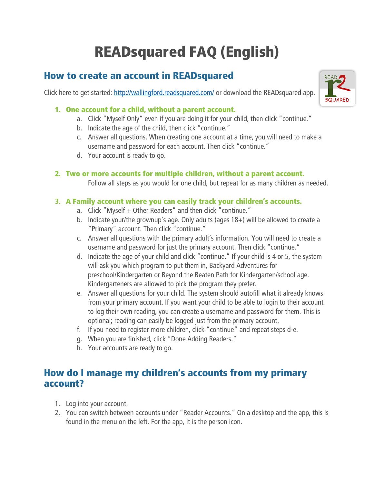# READsquared FAQ (English)

## How to create an account in READsquared

Click here to get started: <http://wallingford.readsquared.com/> or download the READsquared app.



### 1. One account for a child, without a parent account.

- a. Click "Myself Only" even if you are doing it for your child, then click "continue."
- b. Indicate the age of the child, then click "continue."
- c. Answer all questions. When creating one account at a time, you will need to make a username and password for each account. Then click "continue."
- d. Your account is ready to go.

### 2. Two or more accounts for multiple children, without a parent account.

Follow all steps as you would for one child, but repeat for as many children as needed.

### 3. A Family account where you can easily track your children's accounts.

- a. Click "Myself + Other Readers" and then click "continue."
- b. Indicate your/the grownup's age. Only adults (ages 18+) will be allowed to create a "Primary" account. Then click "continue."
- c. Answer all questions with the primary adult's information. You will need to create a username and password for just the primary account. Then click "continue."
- d. Indicate the age of your child and click "continue." If your child is 4 or 5, the system will ask you which program to put them in, Backyard Adventures for preschool/Kindergarten or Beyond the Beaten Path for Kindergarten/school age. Kindergarteners are allowed to pick the program they prefer.
- e. Answer all questions for your child. The system should autofill what it already knows from your primary account. If you want your child to be able to login to their account to log their own reading, you can create a username and password for them. This is optional; reading can easily be logged just from the primary account.
- f. If you need to register more children, click "continue" and repeat steps d-e.
- g. When you are finished, click "Done Adding Readers."
- h. Your accounts are ready to go.

## How do I manage my children's accounts from my primary account?

- 1. Log into your account.
- 2. You can switch between accounts under "Reader Accounts." On a desktop and the app, this is found in the menu on the left. For the app, it is the person icon.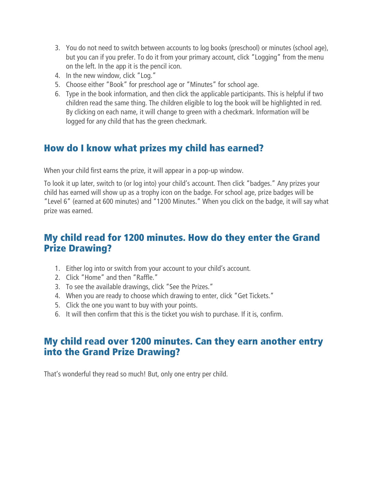- 3. You do not need to switch between accounts to log books (preschool) or minutes (school age), but you can if you prefer. To do it from your primary account, click "Logging" from the menu on the left. In the app it is the pencil icon.
- 4. In the new window, click "Log."
- 5. Choose either "Book" for preschool age or "Minutes" for school age.
- 6. Type in the book information, and then click the applicable participants. This is helpful if two children read the same thing. The children eligible to log the book will be highlighted in red. By clicking on each name, it will change to green with a checkmark. Information will be logged for any child that has the green checkmark.

# How do I know what prizes my child has earned?

When your child first earns the prize, it will appear in a pop-up window.

To look it up later, switch to (or log into) your child's account. Then click "badges." Any prizes your child has earned will show up as a trophy icon on the badge. For school age, prize badges will be "Level 6" (earned at 600 minutes) and "1200 Minutes." When you click on the badge, it will say what prize was earned.

## My child read for 1200 minutes. How do they enter the Grand Prize Drawing?

- 1. Either log into or switch from your account to your child's account.
- 2. Click "Home" and then "Raffle."
- 3. To see the available drawings, click "See the Prizes."
- 4. When you are ready to choose which drawing to enter, click "Get Tickets."
- 5. Click the one you want to buy with your points.
- 6. It will then confirm that this is the ticket you wish to purchase. If it is, confirm.

## My child read over 1200 minutes. Can they earn another entry into the Grand Prize Drawing?

That's wonderful they read so much! But, only one entry per child.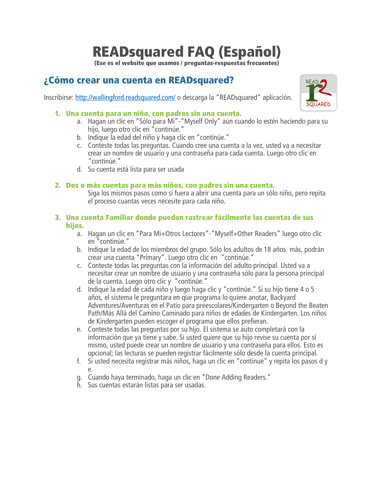# READsquared FAQ (Español)

(Ese es el website que usamos / preguntas-respuestas frecuentes)

# ¿Cómo crear una cuenta en READsquared?

Inscribirse:<http://wallingford.readsquared.com/> o descarga la "READsquared" aplicación.



### 1. Una cuenta para un niño, con padres sin una cuenta.

- a. Hagan un clic en "Sólo para Mi"-"Myself Only" aún cuando lo estén haciendo para su hijo, luego otro clic en "continúe."
- b. Indique la edad del niño y haga clic en "continúe."
- c. Conteste todas las preguntas. Cuando cree una cuenta a la vez, usted va a necesitar crear un nombre de usuario y una contraseña para cada cuenta. Luego otro clic en "continúe."
- d. Su cuenta está lista para ser usada

### 2. Dos o más cuentas para más niños, con padres sin una cuenta.

Siga los mismos pasos como si fuera a abrir una cuenta para un sólo niño, pero repita el proceso cuantas veces necesite para cada niño.

#### 3. Una cuenta Familiar donde puedan rastrear fácilmente las cuentas de sus hijos.

- a. Hagan un clic en "Para Mi+Otros Lectores"-"Myself+Other Readers" luego otro clic en "continúe."
- b. Indique la edad de los miembros del grupo. Sólo los adultos de 18 años más, podrán crear una cuenta "Primary". Luego otro clic en "continúe."
- c. Conteste todas las preguntas con la información del adulto principal. Usted va a necesitar crear un nombre de usuario y una contraseña sólo para la persona principal de la cuenta. Luego otro clic y "continúe."
- d. Indique la edad de cada niño y luego haga clic y "continúe." Si su hijo tiene 4 o 5 años, el sistema le preguntara en que programa lo quiere anotar, Backyard Adventures/Aventuras en el Patio para preescolares/Kindergarten o Beyond the Beaten Path/Más Allá del Camino Caminado para niños de edades de Kindergarten. Los niños de Kindergarten pueden escoger el programa que ellos prefieran.
- e. Conteste todas las preguntas por su hijo. El sistema se auto completará con la información que ya tiene y sabe. Si usted quiere que su hijo revise su cuenta por sí mismo, usted puede crear un nombre de usuario y una contraseña para ellos. Esto es opcional; las lecturas se pueden registrar fácilmente sólo desde la cuenta principal.
- f. Si usted necesita registrar más niños, haga un clic en "continue" y repita los pasos d y e.
- g. Cuando haya terminado, haga un clic en "Done Adding Readers."
- h. Sus cuentas estarán listas para ser usadas.